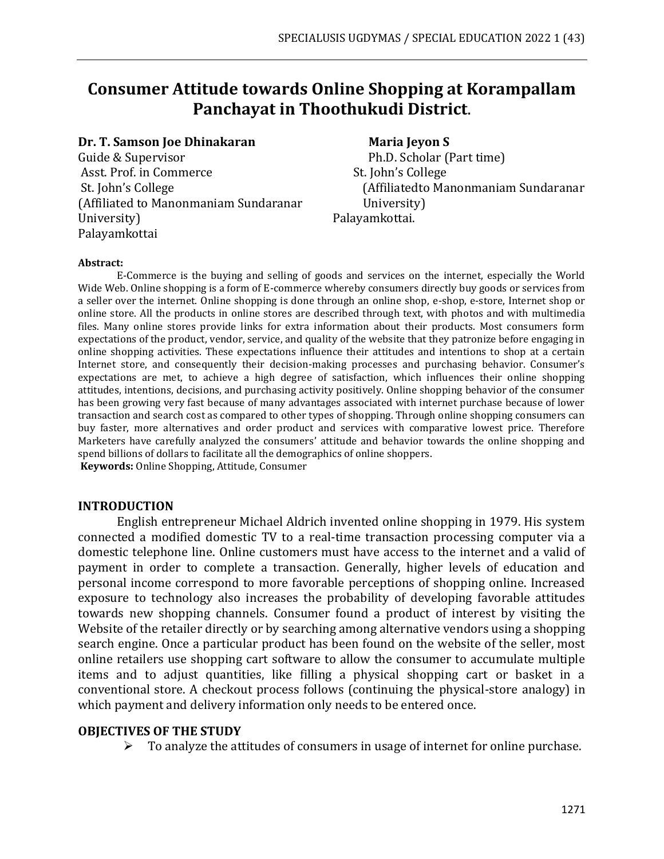# **Consumer Attitude towards Online Shopping at Korampallam Panchayat in Thoothukudi District.**

#### **Dr. T. Samson Joe Dhinakaran Maria Jeyon S**

Guide & Supervisor **Ph.D. Scholar (Part time)** Asst. Prof. in Commerce St. John's College (Affiliated to Manonmaniam Sundaranar University) University) Palayamkottai. Palayamkottai

St. John's College (Affiliatedto Manonmaniam Sundaranar

#### **Abstract:**

E-Commerce is the buying and selling of goods and services on the internet, especially the World Wide Web. Online shopping is a form of E-commerce whereby consumers directly buy goods or services from a seller over the internet. Online shopping is done through an online shop, e-shop, e-store, Internet shop or online store. All the products in online stores are described through text, with photos and with multimedia files. Many online stores provide links for extra information about their products. Most consumers form expectations of the product, vendor, service, and quality of the website that they patronize before engaging in online shopping activities. These expectations influence their attitudes and intentions to shop at a certain Internet store, and consequently their decision-making processes and purchasing behavior. Consumer's expectations are met, to achieve a high degree of satisfaction, which influences their online shopping attitudes, intentions, decisions, and purchasing activity positively. Online shopping behavior of the consumer has been growing very fast because of many advantages associated with internet purchase because of lower transaction and search cost as compared to other types of shopping. Through online shopping consumers can buy faster, more alternatives and order product and services with comparative lowest price. Therefore Marketers have carefully analyzed the consumers' attitude and behavior towards the online shopping and spend billions of dollars to facilitate all the demographics of online shoppers.

**Keywords:** Online Shopping, Attitude, Consumer

#### **INTRODUCTION**

English entrepreneur Michael Aldrich invented online shopping in 1979. His system connected a modified domestic TV to a real-time transaction processing computer via a domestic telephone line. Online customers must have access to the internet and a valid of payment in order to complete a transaction. Generally, higher levels of education and personal income correspond to more favorable perceptions of shopping online. Increased exposure to technology also increases the probability of developing favorable attitudes towards new shopping channels. Consumer found a product of interest by visiting the Website of the retailer directly or by searching among alternative vendors using a shopping search engine. Once a particular product has been found on the website of the seller, most online retailers use shopping cart software to allow the consumer to accumulate multiple items and to adjust quantities, like filling a physical shopping cart or basket in a conventional store. A checkout process follows (continuing the physical-store analogy) in which payment and delivery information only needs to be entered once.

#### **OBJECTIVES OF THE STUDY**

 $\triangleright$  To analyze the attitudes of consumers in usage of internet for online purchase.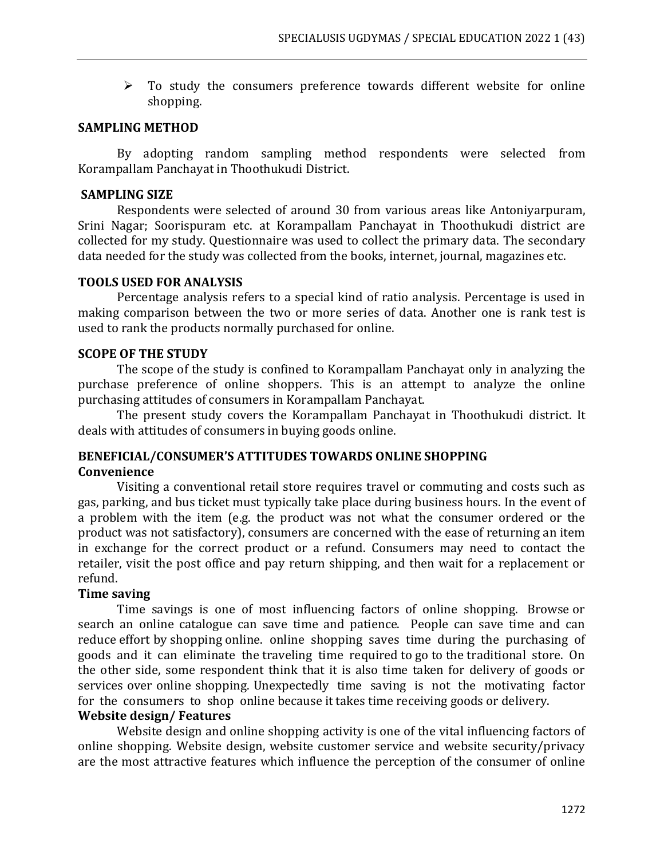➢ To study the consumers preference towards different website for online shopping.

#### **SAMPLING METHOD**

By adopting random sampling method respondents were selected from Korampallam Panchayat in Thoothukudi District.

# **SAMPLING SIZE**

Respondents were selected of around 30 from various areas like Antoniyarpuram, Srini Nagar; Soorispuram etc. at Korampallam Panchayat in Thoothukudi district are collected for my study. Questionnaire was used to collect the primary data. The secondary data needed for the study was collected from the books, internet, journal, magazines etc.

# **TOOLS USED FOR ANALYSIS**

Percentage analysis refers to a special kind of ratio analysis. Percentage is used in making comparison between the two or more series of data. Another one is rank test is used to rank the products normally purchased for online.

# **SCOPE OF THE STUDY**

The scope of the study is confined to Korampallam Panchayat only in analyzing the purchase preference of online shoppers. This is an attempt to analyze the online purchasing attitudes of consumers in Korampallam Panchayat.

The present study covers the Korampallam Panchayat in Thoothukudi district. It deals with attitudes of consumers in buying goods online.

# **BENEFICIAL/CONSUMER'S ATTITUDES TOWARDS ONLINE SHOPPING Convenience**

Visiting a conventional retail store requires travel or commuting and costs such as gas, parking, and bus ticket must typically take place during business hours. In the event of a problem with the item (e.g. the product was not what the consumer ordered or the product was not satisfactory), consumers are concerned with the ease of returning an item in exchange for the correct product or a refund. Consumers may need to contact the retailer, visit the post office and pay return shipping, and then wait for a replacement or refund.

# **Time saving**

Time savings is one of most influencing factors of online shopping. Browse or search an online catalogue can save time and patience. People can save time and can reduce effort by shopping online. online shopping saves time during the purchasing of goods and it can eliminate the traveling time required to go to the traditional store. On the other side, some respondent think that it is also time taken for delivery of goods or services over online shopping. Unexpectedly time saving is not the motivating factor for the consumers to shop online because it takes time receiving goods or delivery.

# **Website design/ Features**

Website design and online shopping activity is one of the vital influencing factors of online shopping. Website design, website customer service and website security/privacy are the most attractive features which influence the perception of the consumer of online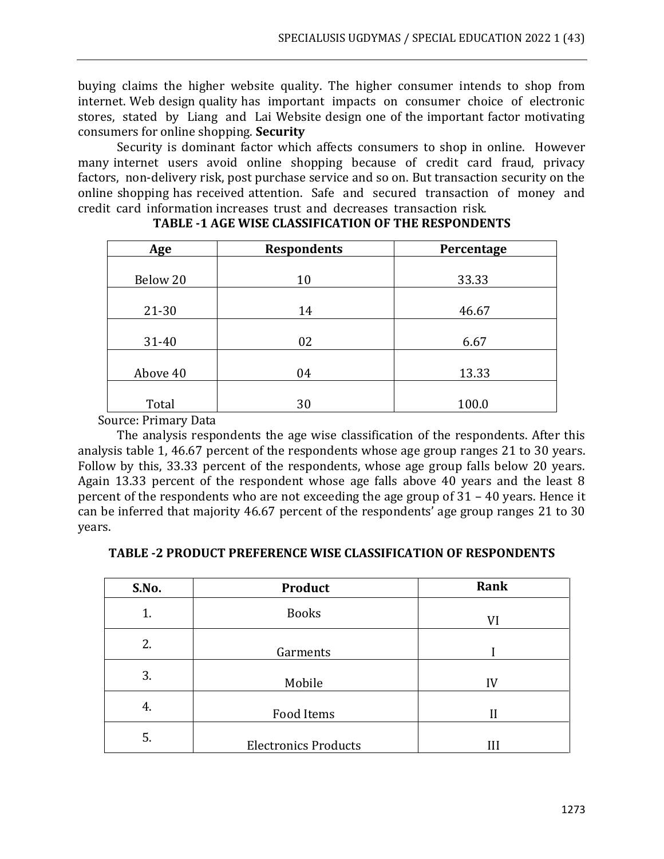buying claims the higher website quality. The higher consumer intends to shop from internet. Web design quality has important impacts on consumer choice of electronic stores, stated by Liang and Lai Website design one of the important factor motivating consumers for online shopping. **Security**

Security is dominant factor which affects consumers to shop in online. However many internet users avoid online shopping because of credit card fraud, privacy factors, non-delivery risk, post purchase service and so on. But transaction security on the online shopping has received attention. Safe and secured transaction of money and credit card information increases trust and decreases transaction risk.

| Age       | <b>Respondents</b> | Percentage |
|-----------|--------------------|------------|
|           |                    |            |
| Below 20  | 10                 | 33.33      |
|           |                    |            |
| $21 - 30$ | 14                 | 46.67      |
|           |                    |            |
| 31-40     | 02                 | 6.67       |
|           |                    |            |
| Above 40  | 04                 | 13.33      |
|           |                    |            |
| Total     | 30                 | 100.0      |

# **TABLE -1 AGE WISE CLASSIFICATION OF THE RESPONDENTS**

Source: Primary Data

The analysis respondents the age wise classification of the respondents. After this analysis table 1, 46.67 percent of the respondents whose age group ranges 21 to 30 years. Follow by this, 33.33 percent of the respondents, whose age group falls below 20 years. Again 13.33 percent of the respondent whose age falls above 40 years and the least 8 percent of the respondents who are not exceeding the age group of 31 – 40 years. Hence it can be inferred that majority 46.67 percent of the respondents' age group ranges 21 to 30 years.

|  |  | <b>TABLE -2 PRODUCT PREFERENCE WISE CLASSIFICATION OF RESPONDENTS</b> |
|--|--|-----------------------------------------------------------------------|
|  |  |                                                                       |

| S.No. | <b>Product</b>              | Rank         |
|-------|-----------------------------|--------------|
| 1.    | <b>Books</b>                | VI           |
| 2.    | Garments                    |              |
| 3.    | Mobile                      | IV           |
| 4.    | Food Items                  | $\mathbf{I}$ |
| 5.    | <b>Electronics Products</b> | Ш            |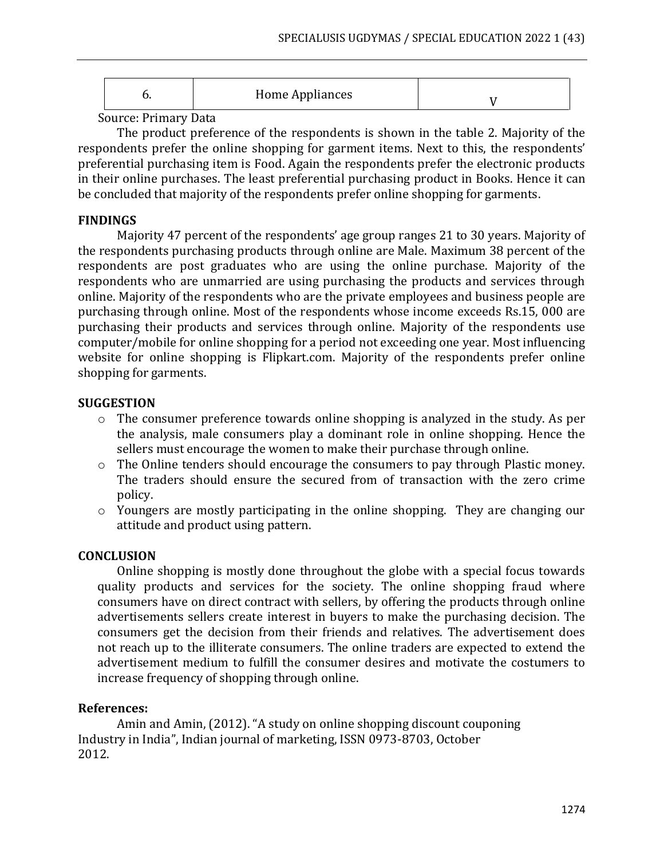|  | Home Appliances |  |
|--|-----------------|--|
|--|-----------------|--|

Source: Primary Data

The product preference of the respondents is shown in the table 2. Majority of the respondents prefer the online shopping for garment items. Next to this, the respondents' preferential purchasing item is Food. Again the respondents prefer the electronic products in their online purchases. The least preferential purchasing product in Books. Hence it can be concluded that majority of the respondents prefer online shopping for garments.

# **FINDINGS**

Majority 47 percent of the respondents' age group ranges 21 to 30 years. Majority of the respondents purchasing products through online are Male. Maximum 38 percent of the respondents are post graduates who are using the online purchase. Majority of the respondents who are unmarried are using purchasing the products and services through online. Majority of the respondents who are the private employees and business people are purchasing through online. Most of the respondents whose income exceeds Rs.15, 000 are purchasing their products and services through online. Majority of the respondents use computer/mobile for online shopping for a period not exceeding one year. Most influencing website for online shopping is Flipkart.com. Majority of the respondents prefer online shopping for garments.

# **SUGGESTION**

- o The consumer preference towards online shopping is analyzed in the study. As per the analysis, male consumers play a dominant role in online shopping. Hence the sellers must encourage the women to make their purchase through online.
- o The Online tenders should encourage the consumers to pay through Plastic money. The traders should ensure the secured from of transaction with the zero crime policy.
- $\circ$  Youngers are mostly participating in the online shopping. They are changing our attitude and product using pattern.

# **CONCLUSION**

Online shopping is mostly done throughout the globe with a special focus towards quality products and services for the society. The online shopping fraud where consumers have on direct contract with sellers, by offering the products through online advertisements sellers create interest in buyers to make the purchasing decision. The consumers get the decision from their friends and relatives. The advertisement does not reach up to the illiterate consumers. The online traders are expected to extend the advertisement medium to fulfill the consumer desires and motivate the costumers to increase frequency of shopping through online.

#### **References:**

Amin and Amin, (2012). "A study on online shopping discount couponing Industry in India", Indian journal of marketing, ISSN 0973-8703, October 2012.